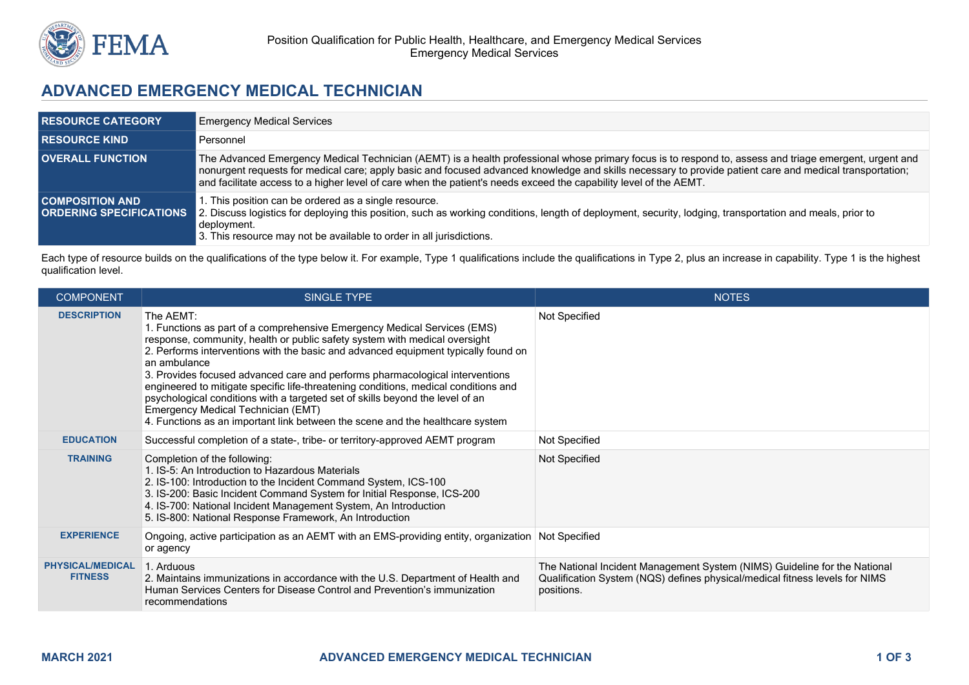

## **ADVANCED EMERGENCY MEDICAL TECHNICIAN**

| <b>RESOURCE CATEGORY</b> | <b>Emergency Medical Services</b>                                                                                                                                                                                                                                                                                                                                                                                                       |
|--------------------------|-----------------------------------------------------------------------------------------------------------------------------------------------------------------------------------------------------------------------------------------------------------------------------------------------------------------------------------------------------------------------------------------------------------------------------------------|
| <b>RESOURCE KIND</b>     | Personnel                                                                                                                                                                                                                                                                                                                                                                                                                               |
| <b>OVERALL FUNCTION</b>  | The Advanced Emergency Medical Technician (AEMT) is a health professional whose primary focus is to respond to, assess and triage emergent, urgent and<br>nonurgent requests for medical care; apply basic and focused advanced knowledge and skills necessary to provide patient care and medical transportation;<br>and facilitate access to a higher level of care when the patient's needs exceed the capability level of the AEMT. |
| <b>COMPOSITION AND</b>   | 1. This position can be ordered as a single resource.<br><b>ORDERING SPECIFICATIONS</b> 2. Discuss logistics for deploying this position, such as working conditions, length of deployment, security, lodging, transportation and meals, prior to<br>deployment.<br>3. This resource may not be available to order in all jurisdictions.                                                                                                |

Each type of resource builds on the qualifications of the type below it. For example, Type 1 qualifications include the qualifications in Type 2, plus an increase in capability. Type 1 is the highest qualification level.

| <b>COMPONENT</b>                          | SINGLE TYPE                                                                                                                                                                                                                                                                                                                                                                                                                                                                                                                                                                                                                                              | <b>NOTES</b>                                                                                                                                                           |
|-------------------------------------------|----------------------------------------------------------------------------------------------------------------------------------------------------------------------------------------------------------------------------------------------------------------------------------------------------------------------------------------------------------------------------------------------------------------------------------------------------------------------------------------------------------------------------------------------------------------------------------------------------------------------------------------------------------|------------------------------------------------------------------------------------------------------------------------------------------------------------------------|
| <b>DESCRIPTION</b>                        | The AEMT:<br>1. Functions as part of a comprehensive Emergency Medical Services (EMS)<br>response, community, health or public safety system with medical oversight<br>2. Performs interventions with the basic and advanced equipment typically found on<br>an ambulance<br>3. Provides focused advanced care and performs pharmacological interventions<br>engineered to mitigate specific life-threatening conditions, medical conditions and<br>psychological conditions with a targeted set of skills beyond the level of an<br>Emergency Medical Technician (EMT)<br>4. Functions as an important link between the scene and the healthcare system | Not Specified                                                                                                                                                          |
| <b>EDUCATION</b>                          | Successful completion of a state-, tribe- or territory-approved AEMT program                                                                                                                                                                                                                                                                                                                                                                                                                                                                                                                                                                             | Not Specified                                                                                                                                                          |
| <b>TRAINING</b>                           | Completion of the following:<br>1. IS-5: An Introduction to Hazardous Materials<br>2. IS-100: Introduction to the Incident Command System, ICS-100<br>3. IS-200: Basic Incident Command System for Initial Response, ICS-200<br>4. IS-700: National Incident Management System, An Introduction<br>5. IS-800: National Response Framework, An Introduction                                                                                                                                                                                                                                                                                               | Not Specified                                                                                                                                                          |
| <b>EXPERIENCE</b>                         | Ongoing, active participation as an AEMT with an EMS-providing entity, organization Not Specified<br>or agency                                                                                                                                                                                                                                                                                                                                                                                                                                                                                                                                           |                                                                                                                                                                        |
| <b>PHYSICAL/MEDICAL</b><br><b>FITNESS</b> | 1. Arduous<br>2. Maintains immunizations in accordance with the U.S. Department of Health and<br>Human Services Centers for Disease Control and Prevention's immunization<br>recommendations                                                                                                                                                                                                                                                                                                                                                                                                                                                             | The National Incident Management System (NIMS) Guideline for the National<br>Qualification System (NQS) defines physical/medical fitness levels for NIMS<br>positions. |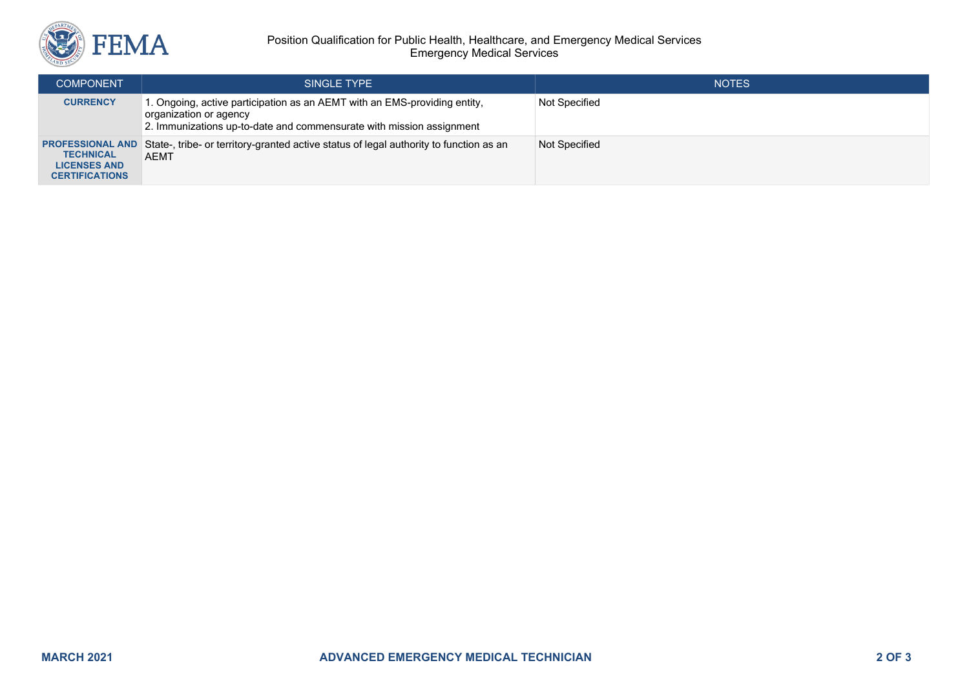

## Position Qualification for Public Health, Healthcare, and Emergency Medical Services Emergency Medical Services

| <b>COMPONENT</b>                                                                            | SINGLE TYPE                                                                                                                                                                | <b>NOTES</b>  |
|---------------------------------------------------------------------------------------------|----------------------------------------------------------------------------------------------------------------------------------------------------------------------------|---------------|
| <b>CURRENCY</b>                                                                             | . Ongoing, active participation as an AEMT with an EMS-providing entity,<br>organization or agency<br>2. Immunizations up-to-date and commensurate with mission assignment | Not Specified |
| <b>PROFESSIONAL AND</b><br><b>TECHNICAL</b><br><b>LICENSES AND</b><br><b>CERTIFICATIONS</b> | State-, tribe- or territory-granted active status of legal authority to function as an<br>AEMT                                                                             | Not Specified |